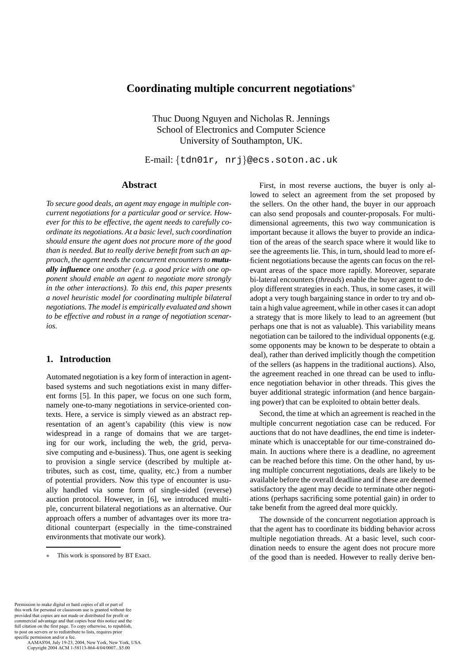# **Coordinating multiple concurrent negotiations**<sup>∗</sup>

Thuc Duong Nguyen and Nicholas R. Jennings School of Electronics and Computer Science University of Southampton, UK.

E-mail: {tdn01r, nrj}@ecs.soton.ac.uk

# **Abstract**

*To secure good deals, an agent may engage in multiple concurrent negotiations for a particular good or service. However for this to be effective, the agent needs to carefully coordinate its negotiations. At a basic level, such coordination should ensure the agent does not procure more of the good than is needed. But to really derive benefit from such an approach, the agent needs the concurrent encounters to mutually influence one another (e.g. a good price with one opponent should enable an agent to negotiate more strongly in the other interactions). To this end, this paper presents a novel heuristic model for coordinating multiple bilateral negotiations. The model is empirically evaluated and shown to be effective and robust in a range of negotiation scenarios.*

# **1. Introduction**

Automated negotiation is a key form of interaction in agentbased systems and such negotiations exist in many different forms [5]. In this paper, we focus on one such form, namely one-to-many negotiations in service-oriented contexts. Here, a service is simply viewed as an abstract representation of an agent's capability (this view is now widespread in a range of domains that we are targeting for our work, including the web, the grid, pervasive computing and e-business). Thus, one agent is seeking to provision a single service (described by multiple attributes, such as cost, time, quality, etc.) from a number of potential providers. Now this type of encounter is usually handled via some form of single-sided (reverse) auction protocol. However, in [6], we introduced multiple, concurrent bilateral negotiations as an alternative. Our approach offers a number of advantages over its more traditional counterpart (especially in the time-constrained environments that motivate our work).

First, in most reverse auctions, the buyer is only allowed to select an agreement from the set proposed by the sellers. On the other hand, the buyer in our approach can also send proposals and counter-proposals. For multidimensional agreements, this two way communication is important because it allows the buyer to provide an indication of the areas of the search space where it would like to see the agreements lie. This, in turn, should lead to more efficient negotiations because the agents can focus on the relevant areas of the space more rapidly. Moreover, separate bi-lateral encounters (*threads*) enable the buyer agent to deploy different strategies in each. Thus, in some cases, it will adopt a very tough bargaining stance in order to try and obtain a high value agreement, while in other cases it can adopt a strategy that is more likely to lead to an agreement (but perhaps one that is not as valuable). This variability means negotiation can be tailored to the individual opponents (e.g. some opponents may be known to be desperate to obtain a deal), rather than derived implicitly though the competition of the sellers (as happens in the traditional auctions). Also, the agreement reached in one thread can be used to influence negotiation behavior in other threads. This gives the buyer additional strategic information (and hence bargaining power) that can be exploited to obtain better deals.

Second, the time at which an agreement is reached in the multiple concurrent negotiation case can be reduced. For auctions that do not have deadlines, the end time is indeterminate which is unacceptable for our time-constrained domain. In auctions where there is a deadline, no agreement can be reached before this time. On the other hand, by using multiple concurrent negotiations, deals are likely to be available before the overall deadline and if these are deemed satisfactory the agent may decide to terminate other negotiations (perhaps sacrificing some potential gain) in order to take benefit from the agreed deal more quickly.

The downside of the concurrent negotiation approach is that the agent has to coordinate its bidding behavior across multiple negotiation threads. At a basic level, such coordination needs to ensure the agent does not procure more of the good than is needed. However to really derive ben-

Permission to make digital or hard copies of all or part of this work for personal or classroom use is granted without fee provided that copies are not made or distributed for profit or commercial advantage and that copies bear this notice and the full citation on the first page. To copy otherwise, to republish, to post on servers or to redistribute to lists, requires prior specific permission and/or a fee.

This work is sponsored by BT Exact.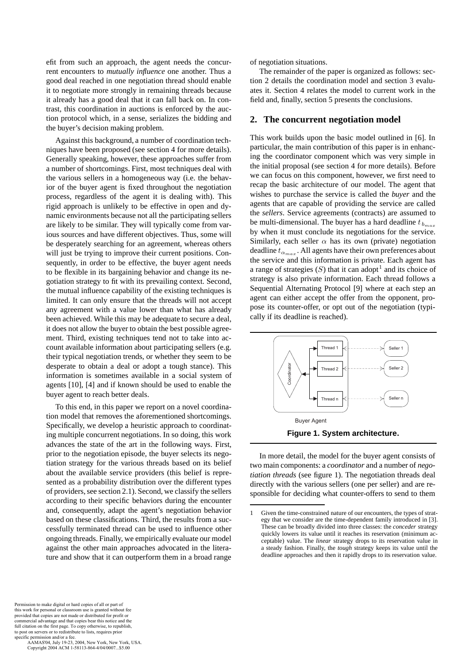efit from such an approach, the agent needs the concurrent encounters to *mutually influence* one another. Thus a good deal reached in one negotiation thread should enable it to negotiate more strongly in remaining threads because it already has a good deal that it can fall back on. In contrast, this coordination in auctions is enforced by the auction protocol which, in a sense, serializes the bidding and the buyer's decision making problem.

Against this background, a number of coordination techniques have been proposed (see section 4 for more details). Generally speaking, however, these approaches suffer from a number of shortcomings. First, most techniques deal with the various sellers in a homogeneous way (i.e. the behavior of the buyer agent is fixed throughout the negotiation process, regardless of the agent it is dealing with). This rigid approach is unlikely to be effective in open and dynamic environments because not all the participating sellers are likely to be similar. They will typically come from various sources and have different objectives. Thus, some will be desperately searching for an agreement, whereas others will just be trying to improve their current positions. Consequently, in order to be effective, the buyer agent needs to be flexible in its bargaining behavior and change its negotiation strategy to fit with its prevailing context. Second, the mutual influence capability of the existing techniques is limited. It can only ensure that the threads will not accept any agreement with a value lower than what has already been achieved. While this may be adequate to secure a deal, it does not allow the buyer to obtain the best possible agreement. Third, existing techniques tend not to take into account available information about participating sellers (e.g. their typical negotiation trends, or whether they seem to be desperate to obtain a deal or adopt a tough stance). This information is sometimes available in a social system of agents [10], [4] and if known should be used to enable the buyer agent to reach better deals.

To this end, in this paper we report on a novel coordination model that removes the aforementioned shortcomings. Specifically, we develop a heuristic approach to coordinating multiple concurrent negotiations. In so doing, this work advances the state of the art in the following ways. First, prior to the negotiation episode, the buyer selects its negotiation strategy for the various threads based on its belief about the available service providers (this belief is represented as a probability distribution over the different types of providers, see section 2.1). Second, we classify the sellers according to their specific behaviors during the encounter and, consequently, adapt the agent's negotiation behavior based on these classifications. Third, the results from a successfully terminated thread can be used to influence other ongoing threads. Finally, we empirically evaluate our model against the other main approaches advocated in the literature and show that it can outperform them in a broad range

Permission to make digital or hard copies of all or part of this work for personal or classroom use is granted without fee provided that copies are not made or distributed for profit or commercial advantage and that copies bear this notice and the full citation on the first page. To copy otherwise, to republish, to post on servers or to redistribute to lists, requires prior specific permission and/or a fee.

 AAMAS'04, July 19-23, 2004, New York, New York, USA. Copyright 2004 ACM 1-58113-864-4/04/0007...\$5.00

#### of negotiation situations.

The remainder of the paper is organized as follows: section 2 details the coordination model and section 3 evaluates it. Section 4 relates the model to current work in the field and, finally, section 5 presents the conclusions.

### **2. The concurrent negotiation model**

This work builds upon the basic model outlined in [6]. In particular, the main contribution of this paper is in enhancing the coordinator component which was very simple in the initial proposal (see section 4 for more details). Before we can focus on this component, however, we first need to recap the basic architecture of our model. The agent that wishes to purchase the service is called the *buyer* and the agents that are capable of providing the service are called the *sellers*. Service agreements (contracts) are assumed to be multi-dimensional. The buyer has a hard deadline t <sup>b</sup>*max* by when it must conclude its negotiations for the service. Similarly, each seller  $\alpha$  has its own (private) negotiation deadline  $t_{\alpha_{max}}$ . All agents have their own preferences about the service and this information is private. Each agent has a range of strategies  $(S)$  that it can adopt<sup>1</sup> and its choice of strategy is also private information. Each thread follows a Sequential Alternating Protocol [9] where at each step an agent can either accept the offer from the opponent, propose its counter-offer, or opt out of the negotiation (typically if its deadline is reached).



In more detail, the model for the buyer agent consists of two main components: a *coordinator* and a number of *negotiation threads* (see figure 1). The negotiation threads deal directly with the various sellers (one per seller) and are responsible for deciding what counter-offers to send to them

<sup>1</sup> Given the time-constrained nature of our encounters, the types of strategy that we consider are the time-dependent family introduced in [3]. These can be broadly divided into three classes: the *conceder* strategy quickly lowers its value until it reaches its reservation (minimum acceptable) value. The *linear* strategy drops to its reservation value in a steady fashion. Finally, the *tough* strategy keeps its value until the deadline approaches and then it rapidly drops to its reservation value.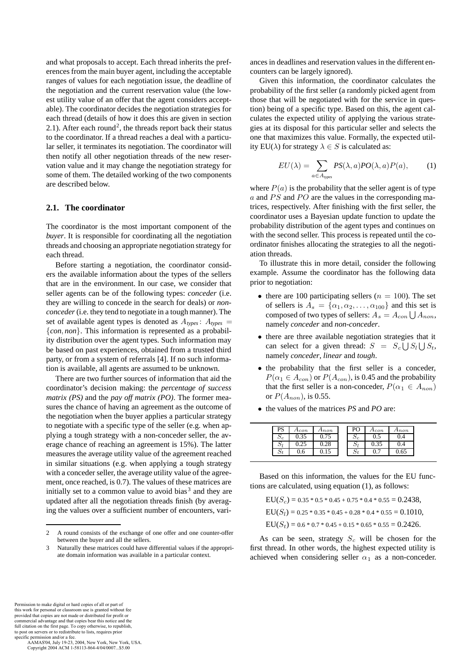and what proposals to accept. Each thread inherits the preferences from the main buyer agent, including the acceptable ranges of values for each negotiation issue, the deadline of the negotiation and the current reservation value (the lowest utility value of an offer that the agent considers acceptable). The coordinator decides the negotiation strategies for each thread (details of how it does this are given in section 2.1). After each round<sup>2</sup>, the threads report back their status to the coordinator. If a thread reaches a deal with a particular seller, it terminates its negotiation. The coordinator will then notify all other negotiation threads of the new reservation value and it may change the negotiation strategy for some of them. The detailed working of the two components are described below.

### **2.1. The coordinator**

The coordinator is the most important component of the *buyer*. It is responsible for coordinating all the negotiation threads and choosing an appropriate negotiation strategy for each thread.

Before starting a negotiation, the coordinator considers the available information about the types of the sellers that are in the environment. In our case, we consider that seller agents can be of the following types: *conceder* (i.e. they are willing to concede in the search for deals) or *nonconceder*(i.e. they tend to negotiate in a tough manner). The set of available agent types is denoted as  $A_{types}$ :  $A_{types}$ {*con*, *non*}. This information is represented as a probability distribution over the agent types. Such information may be based on past experiences, obtained from a trusted third party, or from a system of referrals [4]. If no such information is available, all agents are assumed to be unknown.

There are two further sources of information that aid the coordinator's decision making: the *percentage of success matrix (PS)* and the *pay off matrix (PO)*. The former measures the chance of having an agreement as the outcome of the negotiation when the buyer applies a particular strategy to negotiate with a specific type of the seller (e.g. when applying a tough strategy with a non-conceder seller, the average chance of reaching an agreement is 15%). The latter measures the average utility value of the agreement reached in similar situations (e.g. when applying a tough strategy with a conceder seller, the average utility value of the agreement, once reached, is 0.7). The values of these matrices are initially set to a common value to avoid bias<sup>3</sup> and they are updated after all the negotiation threads finish (by averaging the values over a sufficient number of encounters, vari-

2 A round consists of the exchange of one offer and one counter-offer between the buyer and all the sellers.

ances in deadlines and reservation values in the different encounters can be largely ignored).

Given this information, the coordinator calculates the probability of the first seller (a randomly picked agent from those that will be negotiated with for the service in question) being of a specific type. Based on this, the agent calculates the expected utility of applying the various strategies at its disposal for this particular seller and selects the one that maximizes this value. Formally, the expected utility EU( $\lambda$ ) for strategy  $\lambda \in S$  is calculated as:

$$
EU(\lambda) = \sum_{a \in A_{\text{types}}} PS(\lambda, a) PO(\lambda, a) P(a), \quad (1)
$$

where  $P(a)$  is the probability that the seller agent is of type  $a$  and PS and PO are the values in the corresponding matrices, respectively. After finishing with the first seller, the coordinator uses a Bayesian update function to update the probability distribution of the agent types and continues on with the second seller. This process is repeated until the coordinator finishes allocating the strategies to all the negotiation threads.

To illustrate this in more detail, consider the following example. Assume the coordinator has the following data prior to negotiation:

- there are 100 participating sellers ( $n = 100$ ). The set of sellers is  $A_s = {\alpha_1, \alpha_2, \dots, \alpha_{100}}$  and this set is composed of two types of sellers:  $A_s = A_{con} \bigcup A_{non},$ namely *conceder* and *non-conceder*.
- there are three available negotiation strategies that it can select for a given thread:  $S = S_c \bigcup S_l \bigcup S_t$ , namely *conceder*, *linear* and *tough*.
- the probability that the first seller is a conceder,  $P(\alpha_1 \in A_{con})$  or  $P(A_{con})$ , is 0.45 and the probability that the first seller is a non-conceder,  $P(\alpha_1 \in A_{non})$ or  $P(A_{non})$ , is 0.55.

| PS         | $A_{con}$ | Anon | rv         | $A_{con}$ | Anon |
|------------|-----------|------|------------|-----------|------|
| $\omega_c$ | 0.35      |      | $\omega_c$ | U.J       | U.4  |
| וט         | U.ZJ      | ∪.∠c | ມ          | ∪.JJ      | 0.4  |
| ιJt        | U.O       |      | IJT.       | v.        | 0.65 |

• the values of the matrices *PS* and *PO* are:

Based on this information, the values for the EU functions are calculated, using equation (1), as follows:

$$
EU(Sc) = 0.35 * 0.5 * 0.45 + 0.75 * 0.4 * 0.55 = 0.2438,
$$
  
\n
$$
EU(Sl) = 0.25 * 0.35 * 0.45 + 0.28 * 0.4 * 0.55 = 0.1010,
$$
  
\n
$$
EU(St) = 0.6 * 0.7 * 0.45 + 0.15 * 0.65 * 0.55 = 0.2426.
$$

As can be seen, strategy  $S_c$  will be chosen for the first thread. In other words, the highest expected utility is achieved when considering seller  $\alpha_1$  as a non-conceder.

Permission to make digital or hard copies of all or part of this work for personal or classroom use is granted without fee provided that copies are not made or distributed for profit or commercial advantage and that copies bear this notice and the full citation on the first page. To copy otherwise, to republish, to post on servers or to redistribute to lists, requires prior specific permission and/or a fee.

<sup>3</sup> Naturally these matrices could have differential values if the appropriate domain information was available in a particular context.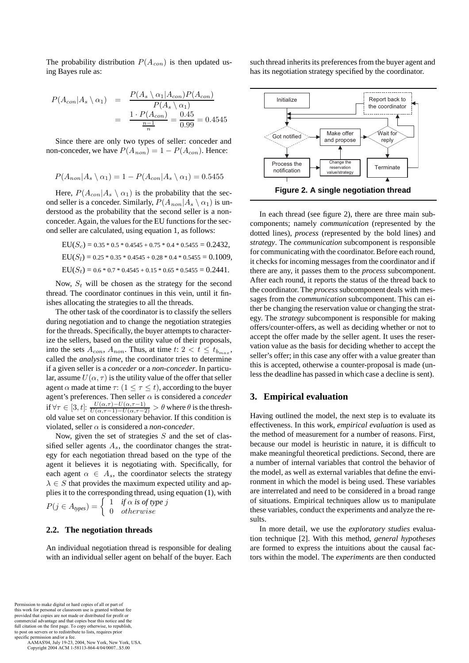The probability distribution  $P(A_{con})$  is then updated using Bayes rule as:

$$
P(A_{con}|A_s \setminus \alpha_1) = \frac{P(A_s \setminus \alpha_1 | A_{con}) P(A_{con})}{P(A_s \setminus \alpha_1)}
$$
  
= 
$$
\frac{1 \cdot P(A_{con})}{\frac{n-1}{n}} = \frac{0.45}{0.99} = 0.4545
$$

Since there are only two types of seller: conceder and non-conceder, we have  $P(A_{non})=1 - P(A_{con})$ . Hence:

$$
P(A_{non}|A_{s} \setminus \alpha_{1}) = 1 - P(A_{con}|A_{s} \setminus \alpha_{1}) = 0.5455
$$

Here,  $P(A_{con}|A_s \setminus \alpha_1)$  is the probability that the second seller is a conceder. Similarly,  $P(A_{non}|A_s \setminus \alpha_1)$  is understood as the probability that the second seller is a nonconceder. Again, the values for the EU functions for the second seller are calculated, using equation 1, as follows:

$$
EU(Sc) = 0.35 * 0.5 * 0.4545 + 0.75 * 0.4 * 0.5455 = 0.2432,
$$
  
\n
$$
EU(Sl) = 0.25 * 0.35 * 0.4545 + 0.28 * 0.4 * 0.5455 = 0.1009,
$$
  
\n
$$
EU(St) = 0.6 * 0.7 * 0.4545 + 0.15 * 0.65 * 0.5455 = 0.2441.
$$

Now,  $S_t$  will be chosen as the strategy for the second thread. The coordinator continues in this vein, until it finishes allocating the strategies to all the threads.

The other task of the coordinator is to classify the sellers during negotiation and to change the negotiation strategies for the threads. Specifically, the buyer attempts to characterize the sellers, based on the utility value of their proposals, into the sets  $A_{con}$ ,  $A_{non}$ . Thus, at time  $t: 2 < t \leq t_{b_{max}}$ , called the *analysis time*, the coordinator tries to determine if a given seller is a *conceder* or a *non-conceder*. In particular, assume  $U(\alpha, \tau)$  is the utility value of the offer that seller agent  $\alpha$  made at time  $\tau$ :  $(1 \leq \tau \leq t)$ , according to the buyer agent's preferences. Then seller α is considered a *conceder* if  $\forall \tau \in [3, t]: \frac{U(\alpha, \tau) - U(\alpha, \tau - 1)}{U(\alpha, \tau - 1) - U(\alpha, \tau - 2)} > \theta$  where  $\theta$  is the threshold value set on concessionary behavior. If this condition is violated, seller  $\alpha$  is considered a *non-conceder*.

Now, given the set of strategies  $S$  and the set of classified seller agents  $A_s$ , the coordinator changes the strategy for each negotiation thread based on the type of the agent it believes it is negotiating with. Specifically, for each agent  $\alpha \in A_s$ , the coordinator selects the strategy  $\lambda \in S$  that provides the maximum expected utility and applies it to the corresponding thread, using equation (1), with  $P(j \in A_{types}) = \begin{cases} 1 & \text{if } \alpha \text{ is of type } j\ 0 & \text{otherwise} \end{cases}$ 

### **2.2. The negotiation threads**

An individual negotiation thread is responsible for dealing with an individual seller agent on behalf of the buyer. Each such thread inherits its preferences from the buyer agent and has its negotiation strategy specified by the coordinator.



In each thread (see figure 2), there are three main subcomponents; namely *communication* (represented by the dotted lines), *process* (represented by the bold lines) and *strategy*. The *communication* subcomponent is responsible for communicating with the coordinator. Before each round, it checks for incoming messages from the coordinator and if there are any, it passes them to the *process* subcomponent. After each round, it reports the status of the thread back to the coordinator. The *process* subcomponent deals with messages from the *communication* subcomponent. This can either be changing the reservation value or changing the strategy. The *strategy* subcomponent is responsible for making offers/counter-offers, as well as deciding whether or not to accept the offer made by the seller agent. It uses the reservation value as the basis for deciding whether to accept the seller's offer; in this case any offer with a value greater than this is accepted, otherwise a counter-proposal is made (unless the deadline has passed in which case a decline is sent).

#### **3. Empirical evaluation**

Having outlined the model, the next step is to evaluate its effectiveness. In this work, *empirical evaluation* is used as the method of measurement for a number of reasons. First, because our model is heuristic in nature, it is difficult to make meaningful theoretical predictions. Second, there are a number of internal variables that control the behavior of the model, as well as external variables that define the environment in which the model is being used. These variables are interrelated and need to be considered in a broad range of situations. Empirical techniques allow us to manipulate these variables, conduct the experiments and analyze the results.

In more detail, we use the *exploratory studies* evaluation technique [2]. With this method, *general hypotheses* are formed to express the intuitions about the causal factors within the model. The *experiments* are then conducted

Permission to make digital or hard copies of all or part of this work for personal or classroom use is granted without fee provided that copies are not made or distributed for profit or commercial advantage and that copies bear this notice and the full citation on the first page. To copy otherwise, to republish, to post on servers or to redistribute to lists, requires prior specific permission and/or a fee.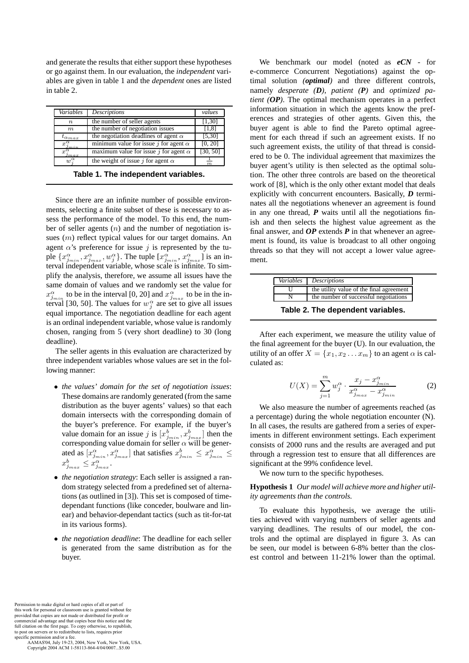and generate the results that either support these hypotheses or go against them. In our evaluation, the *independent* variables are given in table 1 and the *dependent* ones are listed in table 2.

| Variables                 | Descriptions                                 | values           |
|---------------------------|----------------------------------------------|------------------|
| $\, n$                    | the number of seller agents                  | [1,30]           |
| m                         | the number of negotiation issues             | [1,8]            |
| $t_{\alpha_{\it max}}$    | the negotiation deadlines of agent $\alpha$  | [5, 30]          |
| $x_{i_{min}}^{\alpha}$    | minimum value for issue j for agent $\alpha$ | [0, 20]          |
| $x^{\alpha}$<br>$_{inax}$ | maximum value for issue j for agent $\alpha$ | [30, 50]         |
| $w^{\alpha}$              | the weight of issue j for agent $\alpha$     | $\boldsymbol{m}$ |

**Table 1. The independent variables.**

Since there are an infinite number of possible environments, selecting a finite subset of these is necessary to assess the performance of the model. To this end, the number of seller agents  $(n)$  and the number of negotiation issues (m) reflect typical values for our target domains. An agent  $\alpha$ 's preference for issue j is represented by the tuple  $\{x^{\alpha}_{j_{min}}, x^{\alpha}_{j_{max}}, w^{\alpha}_{j}\}$ . The tuple  $[x^{\alpha}_{j_{min}}, x^{\alpha}_{j_{max}}]$  is an interval independent variable, whose scale is infinite. To simplify the analysis, therefore, we assume all issues have the same domain of values and we randomly set the value for  $x_{j_{min}}^{\alpha}$  to be in the interval [0, 20] and  $x_{j_{max}}^{\alpha}$  to be in the interval [30, 50]. The values for  $w_j^{\alpha}$  are set to give all issues equal importance. The negotiation deadline for each agent is an ordinal independent variable, whose value is randomly chosen, ranging from 5 (very short deadline) to 30 (long deadline).

The seller agents in this evaluation are characterized by three independent variables whose values are set in the following manner:

- *the values' domain for the set of negotiation issues*: These domains are randomly generated (from the same distribution as the buyer agents' values) so that each domain intersects with the corresponding domain of the buyer's preference. For example, if the buyer's value domain for an issue j is  $[x_{j_{min}}^b, x_{j_{max}}^b]$  then the corresponding value domain for seller  $\alpha$  will be generated as  $[x_{j_{min}}^{\alpha}, x_{j_{max}}^{\alpha}]$  that satisfies  $x_{j_{min}}^b \leq x_{j_{min}}^{\alpha} \leq$  $x_{j_{max}}^b \leq x_{j_{max}}^{\alpha}$ .
- *the negotiation strategy*: Each seller is assigned a random strategy selected from a predefined set of alternations (as outlined in [3]). This set is composed of timedependant functions (like conceder, boulware and linear) and behavior-dependant tactics (such as tit-for-tat in its various forms).
- *the negotiation deadline*: The deadline for each seller is generated from the same distribution as for the buyer.

We benchmark our model (noted as *eCN* - for e-commerce Concurrent Negotiations) against the optimal solution *(optimal)* and three different controls, namely *desperate (D)*, *patient (P)* and *optimized patient (OP)*. The optimal mechanism operates in a perfect information situation in which the agents know the preferences and strategies of other agents. Given this, the buyer agent is able to find the Pareto optimal agreement for each thread if such an agreement exists. If no such agreement exists, the utility of that thread is considered to be 0. The individual agreement that maximizes the buyer agent's utility is then selected as the optimal solution. The other three controls are based on the theoretical work of [8], which is the only other extant model that deals explicitly with concurrent encounters. Basically, *D* terminates all the negotiations whenever an agreement is found in any one thread,  $P$  waits until all the negotiations finish and then selects the highest value agreement as the final answer, and *OP* extends *P* in that whenever an agreement is found, its value is broadcast to all other ongoing threads so that they will not accept a lower value agreement.

| Variables Descriptions                   |
|------------------------------------------|
| the utility value of the final agreement |
| the number of successful negotiations    |

**Table 2. The dependent variables.**

After each experiment, we measure the utility value of the final agreement for the buyer (U). In our evaluation, the utility of an offer  $X = \{x_1, x_2 \dots x_m\}$  to an agent  $\alpha$  is calculated as:

$$
U(X) = \sum_{j=1}^{m} w_j^{\alpha} \cdot \frac{x_j - x_{j_{min}}^{\alpha}}{x_{j_{max}}^{\alpha} - x_{j_{min}}^{\alpha}}
$$
 (2)

We also measure the number of agreements reached (as a percentage) during the whole negotiation encounter (N). In all cases, the results are gathered from a series of experiments in different environment settings. Each experiment consists of 2000 runs and the results are averaged and put through a regression test to ensure that all differences are significant at the 99% confidence level.

We now turn to the specific hypotheses.

**Hypothesis 1** *Our model will achieve more and higher utility agreements than the controls.*

To evaluate this hypothesis, we average the utilities achieved with varying numbers of seller agents and varying deadlines. The results of our model, the controls and the optimal are displayed in figure 3. As can be seen, our model is between 6-8% better than the closest control and between 11-21% lower than the optimal.

Permission to make digital or hard copies of all or part of this work for personal or classroom use is granted without fee provided that copies are not made or distributed for profit or commercial advantage and that copies bear this notice and the full citation on the first page. To copy otherwise, to republish, to post on servers or to redistribute to lists, requires prior specific permission and/or a fee.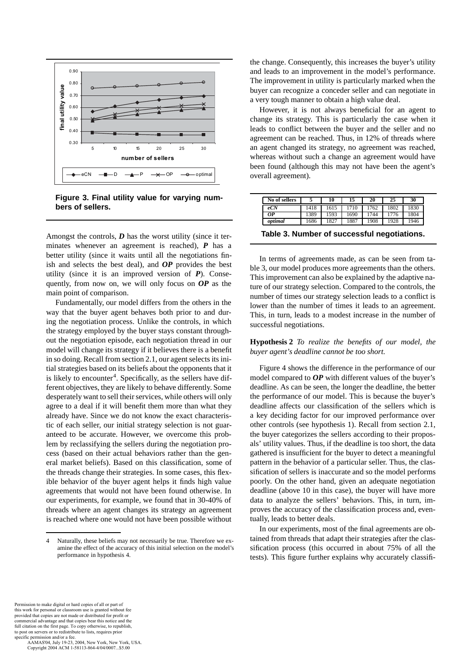

**Figure 3. Final utility value for varying numbers of sellers.**

Amongst the controls,  $D$  has the worst utility (since it terminates whenever an agreement is reached), *P* has a better utility (since it waits until all the negotiations finish and selects the best deal), and *OP* provides the best utility (since it is an improved version of *P*). Consequently, from now on, we will only focus on *OP* as the main point of comparison.

Fundamentally, our model differs from the others in the way that the buyer agent behaves both prior to and during the negotiation process. Unlike the controls, in which the strategy employed by the buyer stays constant throughout the negotiation episode, each negotiation thread in our model will change its strategy if it believes there is a benefit in so doing. Recall from section 2.1, our agent selects its initial strategies based on its beliefs about the opponents that it is likely to encounter<sup>4</sup>. Specifically, as the sellers have different objectives, they are likely to behave differently. Some desperately want to sell their services, while others will only agree to a deal if it will benefit them more than what they already have. Since we do not know the exact characteristic of each seller, our initial strategy selection is not guaranteed to be accurate. However, we overcome this problem by reclassifying the sellers during the negotiation process (based on their actual behaviors rather than the general market beliefs). Based on this classification, some of the threads change their strategies. In some cases, this flexible behavior of the buyer agent helps it finds high value agreements that would not have been found otherwise. In our experiments, for example, we found that in 30-40% of threads where an agent changes its strategy an agreement is reached where one would not have been possible without

the change. Consequently, this increases the buyer's utility and leads to an improvement in the model's performance. The improvement in utility is particularly marked when the buyer can recognize a conceder seller and can negotiate in a very tough manner to obtain a high value deal.

However, it is not always beneficial for an agent to change its strategy. This is particularly the case when it leads to conflict between the buyer and the seller and no agreement can be reached. Thus, in 12% of threads where an agent changed its strategy, no agreement was reached, whereas without such a change an agreement would have been found (although this may not have been the agent's overall agreement).

| No of sellers |      | 10   | 15   | 20   | 25   | 30   |
|---------------|------|------|------|------|------|------|
| eCN           | 1418 | 1615 | 1710 | 762  | .802 | 1830 |
| OР            | 1389 | 1593 | 1690 | 744  | 1776 | 1804 |
| optimal       | 1686 | 1827 | 1887 | .908 | 1928 | 1946 |

**Table 3. Number of successful negotiations.**

In terms of agreements made, as can be seen from table 3, our model produces more agreements than the others. This improvement can also be explained by the adaptive nature of our strategy selection. Compared to the controls, the number of times our strategy selection leads to a conflict is lower than the number of times it leads to an agreement. This, in turn, leads to a modest increase in the number of successful negotiations.

### **Hypothesis 2** *To realize the benefits of our model, the buyer agent's deadline cannot be too short.*

Figure 4 shows the difference in the performance of our model compared to *OP* with different values of the buyer's deadline. As can be seen, the longer the deadline, the better the performance of our model. This is because the buyer's deadline affects our classification of the sellers which is a key deciding factor for our improved performance over other controls (see hypothesis 1). Recall from section 2.1, the buyer categorizes the sellers according to their proposals' utility values. Thus, if the deadline is too short, the data gathered is insufficient for the buyer to detect a meaningful pattern in the behavior of a particular seller. Thus, the classification of sellers is inaccurate and so the model performs poorly. On the other hand, given an adequate negotiation deadline (above 10 in this case), the buyer will have more data to analyze the sellers' behaviors. This, in turn, improves the accuracy of the classification process and, eventually, leads to better deals.

In our experiments, most of the final agreements are obtained from threads that adapt their strategies after the classification process (this occurred in about 75% of all the tests). This figure further explains why accurately classifi-

Permission to make digital or hard copies of all or part of this work for personal or classroom use is granted without fee provided that copies are not made or distributed for profit or commercial advantage and that copies bear this notice and the full citation on the first page. To copy otherwise, to republish, to post on servers or to redistribute to lists, requires prior specific permission and/or a fee.

<sup>4</sup> Naturally, these beliefs may not necessarily be true. Therefore we examine the effect of the accuracy of this initial selection on the model's performance in hypothesis 4.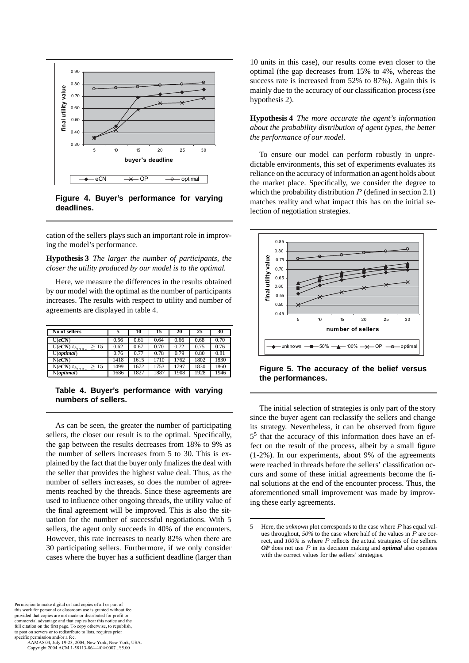

**Figure 4. Buyer's performance for varying deadlines.**

cation of the sellers plays such an important role in improving the model's performance.

**Hypothesis 3** *The larger the number of participants, the closer the utility produced by our model is to the optimal.*

Here, we measure the differences in the results obtained by our model with the optimal as the number of participants increases. The results with respect to utility and number of agreements are displayed in table 4.

| No of sellers                                 |      | 10   | 15   | 20   | 25   | 30   |
|-----------------------------------------------|------|------|------|------|------|------|
| U(eCN)                                        | 0.56 | 0.61 | 0.64 | 0.66 | 0.68 | 0.70 |
| $\overline{{\rm U}(eCN)}\, t_{b_{max}}$<br>15 | 0.62 | 0.67 | 0.70 | 0.72 | 0.75 | 0.76 |
| $U$ ( <i>optimal</i> )                        | 0.76 | 0.77 | 0.78 | 0.79 | 0.80 | 0.81 |
| N(eCN)                                        | 1418 | 1615 | 1710 | 1762 | 1802 | 1830 |
| $\overline{N(eCN)}\, t_{bmax}$<br>15          | 1499 | 1672 | 1753 | 1797 | 1830 | 1860 |
| N(optimal)                                    | 1686 | 1827 | 1887 | 1908 | 1928 | 1946 |

**Table 4. Buyer's performance with varying numbers of sellers.**

As can be seen, the greater the number of participating sellers, the closer our result is to the optimal. Specifically, the gap between the results decreases from 18% to 9% as the number of sellers increases from 5 to 30. This is explained by the fact that the buyer only finalizes the deal with the seller that provides the highest value deal. Thus, as the number of sellers increases, so does the number of agreements reached by the threads. Since these agreements are used to influence other ongoing threads, the utility value of the final agreement will be improved. This is also the situation for the number of successful negotiations. With 5 sellers, the agent only succeeds in 40% of the encounters. However, this rate increases to nearly 82% when there are 30 participating sellers. Furthermore, if we only consider cases where the buyer has a sufficient deadline (larger than

10 units in this case), our results come even closer to the optimal (the gap decreases from 15% to 4%, whereas the success rate is increased from 52% to 87%). Again this is mainly due to the accuracy of our classification process (see hypothesis 2).

**Hypothesis 4** *The more accurate the agent's information about the probability distribution of agent types, the better the performance of our model.*

To ensure our model can perform robustly in unpredictable environments, this set of experiments evaluates its reliance on the accuracy of information an agent holds about the market place. Specifically, we consider the degree to which the probability distribution  $P$  (defined in section 2.1) matches reality and what impact this has on the initial selection of negotiation strategies.



**Figure 5. The accuracy of the belief versus the performances.**

The initial selection of strategies is only part of the story since the buyer agent can reclassify the sellers and change its strategy. Nevertheless, it can be observed from figure 5<sup>5</sup> that the accuracy of this information does have an effect on the result of the process, albeit by a small figure (1-2%). In our experiments, about 9% of the agreements were reached in threads before the sellers' classification occurs and some of these initial agreements become the final solutions at the end of the encounter process. Thus, the aforementioned small improvement was made by improving these early agreements.

Permission to make digital or hard copies of all or part of this work for personal or classroom use is granted without fee provided that copies are not made or distributed for profit or commercial advantage and that copies bear this notice and the full citation on the first page. To copy otherwise, to republish, to post on servers or to redistribute to lists, requires prior specific permission and/or a fee.

<sup>5</sup> Here, the *unknown* plot corresponds to the case where P has equal values throughout, *50%* to the case where half of the values in P are correct, and *100%* is where P reflects the actual strategies of the sellers. *OP* does not use P in its decision making and *optimal* also operates with the correct values for the sellers' strategies.